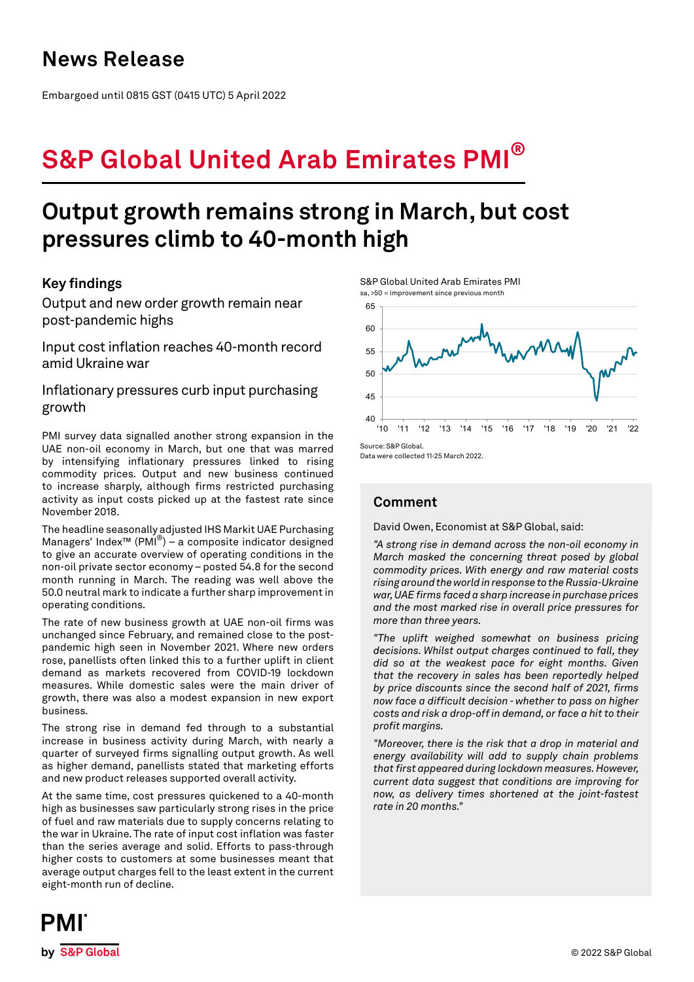## **News Release**

Embargoed until 0815 GST (0415 UTC) 5 April 2022

# **S&P Global United Arab Emirates PMI®**

## **Output growth remains strong in March, but cost pressures climb to 40-month high**

## **Key findings**

Output and new order growth remain near post-pandemic highs

Input cost inflation reaches 40-month record amid Ukraine war

Inflationary pressures curb input purchasing growth

PMI survey data signalled another strong expansion in the UAE non-oil economy in March, but one that was marred by intensifying inflationary pressures linked to rising commodity prices. Output and new business continued to increase sharply, although firms restricted purchasing activity as input costs picked up at the fastest rate since November 2018.

The headline seasonally adjusted IHS Markit UAE Purchasing Managers' Index™ (PMI®) – a composite indicator designed to give an accurate overview of operating conditions in the non-oil private sector economy – posted 54.8 for the second month running in March. The reading was well above the 50.0 neutral mark to indicate a further sharp improvement in operating conditions.

The rate of new business growth at UAE non-oil firms was unchanged since February, and remained close to the postpandemic high seen in November 2021. Where new orders rose, panellists often linked this to a further uplift in client demand as markets recovered from COVID-19 lockdown measures. While domestic sales were the main driver of growth, there was also a modest expansion in new export business.

The strong rise in demand fed through to a substantial increase in business activity during March, with nearly a quarter of surveyed firms signalling output growth. As well as higher demand, panellists stated that marketing efforts and new product releases supported overall activity.

At the same time, cost pressures quickened to a 40-month high as businesses saw particularly strong rises in the price of fuel and raw materials due to supply concerns relating to the war in Ukraine. The rate of input cost inflation was faster than the series average and solid. Efforts to pass-through higher costs to customers at some businesses meant that average output charges fell to the least extent in the current eight-month run of decline.

S&P Global United Arab Emirates PMI sa, >50 = improvement since previous month



Data were collected 11-25 March 2022.

## **Comment**

David Owen, Economist at S&P Global, said:

*"A strong rise in demand across the non-oil economy in March masked the concerning threat posed by global commodity prices. With energy and raw material costs rising around the world in response to the Russia-Ukraine war, UAE firms faced a sharp increase in purchase prices and the most marked rise in overall price pressures for more than three years.* 

*"The uplift weighed somewhat on business pricing decisions. Whilst output charges continued to fall, they did so at the weakest pace for eight months. Given that the recovery in sales has been reportedly helped by price discounts since the second half of 2021, firms now face a difficult decision - whether to pass on higher costs and risk a drop-off in demand, or face a hit to their profit margins.*

*"Moreover, there is the risk that a drop in material and energy availability will add to supply chain problems that first appeared during lockdown measures. However, current data suggest that conditions are improving for now, as delivery times shortened at the joint-fastest rate in 20 months."*